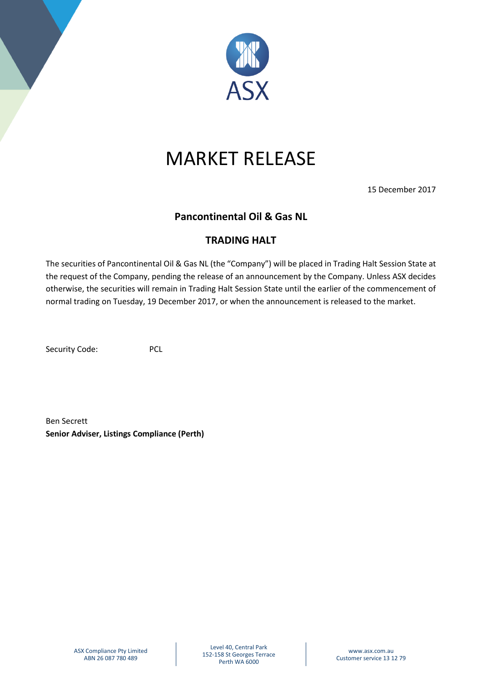

## MARKET RELEASE

15 December 2017

## **Pancontinental Oil & Gas NL**

## **TRADING HALT**

The securities of Pancontinental Oil & Gas NL (the "Company") will be placed in Trading Halt Session State at the request of the Company, pending the release of an announcement by the Company. Unless ASX decides otherwise, the securities will remain in Trading Halt Session State until the earlier of the commencement of normal trading on Tuesday, 19 December 2017, or when the announcement is released to the market.

Security Code: PCL

Ben Secrett **Senior Adviser, Listings Compliance (Perth)**